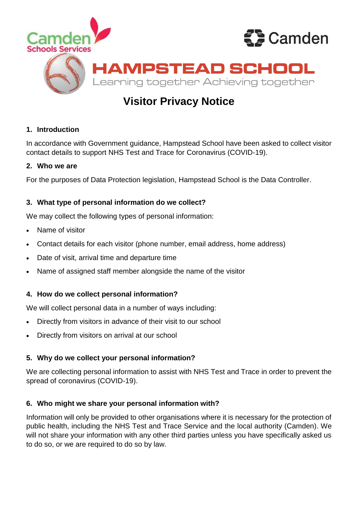

# **Visitor Privacy Notice**

# **1. Introduction**

In accordance with Government guidance, Hampstead School have been asked to collect visitor contact details to support NHS Test and Trace for Coronavirus (COVID-19).

### **2. Who we are**

For the purposes of Data Protection legislation, Hampstead School is the Data Controller.

# **3. What type of personal information do we collect?**

We may collect the following types of personal information:

- Name of visitor
- Contact details for each visitor (phone number, email address, home address)
- Date of visit, arrival time and departure time
- Name of assigned staff member alongside the name of the visitor

# **4. How do we collect personal information?**

We will collect personal data in a number of ways including:

- Directly from visitors in advance of their visit to our school
- Directly from visitors on arrival at our school

# **5. Why do we collect your personal information?**

We are collecting personal information to assist with NHS Test and Trace in order to prevent the spread of coronavirus (COVID-19).

# **6. Who might we share your personal information with?**

Information will only be provided to other organisations where it is necessary for the protection of public health, including the NHS Test and Trace Service and the local authority (Camden). We will not share your information with any other third parties unless you have specifically asked us to do so, or we are required to do so by law.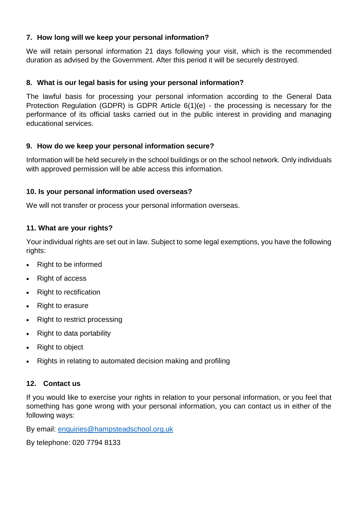## **7. How long will we keep your personal information?**

We will retain personal information 21 days following your visit, which is the recommended duration as advised by the Government. After this period it will be securely destroyed.

#### **8. What is our legal basis for using your personal information?**

The lawful basis for processing your personal information according to the General Data Protection Regulation (GDPR) is GDPR Article 6(1)(e) - the processing is necessary for the performance of its official tasks carried out in the public interest in providing and managing educational services.

### **9. How do we keep your personal information secure?**

Information will be held securely in the school buildings or on the school network. Only individuals with approved permission will be able access this information.

### **10. Is your personal information used overseas?**

We will not transfer or process your personal information overseas.

#### **11. What are your rights?**

Your individual rights are set out in law. Subject to some legal exemptions, you have the following rights:

- Right to be informed
- Right of access
- Right to rectification
- Right to erasure
- Right to restrict processing
- Right to data portability
- Right to object
- Rights in relating to automated decision making and profiling

# **12. Contact us**

If you would like to exercise your rights in relation to your personal information, or you feel that something has gone wrong with your personal information, you can contact us in either of the following ways:

By email: [enquiries@hampsteadschool.org.uk](mailto:enquiries@hampsteadschool.org.uk)

By telephone: 020 7794 8133